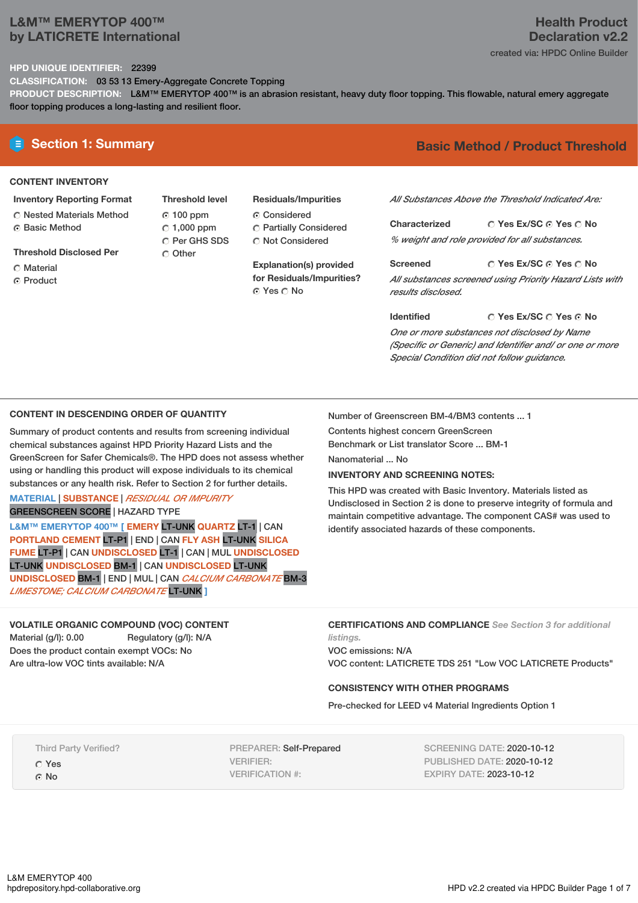# **L&M™ EMERYTOP 400™ by LATICRETE International**

# **Health Product Declaration v2.2**

created via: HPDC Online Builder

## **HPD UNIQUE IDENTIFIER:** 22399

**CLASSIFICATION:** 03 53 13 Emery-Aggregate Concrete Topping

**PRODUCT DESCRIPTION:** L&M™ EMERYTOP 400™ is an abrasion resistant, heavy duty floor topping. This flowable, natural emery aggregate floor topping produces a long-lasting and resilient floor.

#### **CONTENT INVENTORY**

- **Inventory Reporting Format** Nested Materials Method
- **G** Basic Method
- **Threshold Disclosed Per**
- C Material
- **C** Product
- **Threshold level** 100 ppm  $C$  1,000 ppm Per GHS SDS O Other
- **Residuals/Impurities** Considered Partially Considered C Not Considered

**Explanation(s) provided for Residuals/Impurities?** © Yes ∩ No

# **E** Section 1: Summary **Basic** Method / Product Threshold

*All Substances Above the Threshold Indicated Are:*

**Yes Ex/SC Yes No Characterized** *% weight and role provided for all substances.*

**Yes Ex/SC Yes No Screened** *All substances screened using Priority Hazard Lists with results disclosed.*

**Yes Ex/SC Yes No Identified** *One or more substances not disclosed by Name (Specific or Generic) and Identifier and/ or one or more Special Condition did not follow guidance.*

## **CONTENT IN DESCENDING ORDER OF QUANTITY**

Summary of product contents and results from screening individual chemical substances against HPD Priority Hazard Lists and the GreenScreen for Safer Chemicals®. The HPD does not assess whether using or handling this product will expose individuals to its chemical substances or any health risk. Refer to Section 2 for further details.

## **MATERIAL** | **SUBSTANCE** | *RESIDUAL OR IMPURITY* GREENSCREEN SCORE | HAZARD TYPE

**L&M™ EMERYTOP 400™ [ EMERY** LT-UNK **QUARTZ** LT-1 | CAN **PORTLAND CEMENT** LT-P1 | END | CAN **FLY ASH** LT-UNK **SILICA FUME** LT-P1 | CAN **UNDISCLOSED** LT-1 | CAN | MUL **UNDISCLOSED** LT-UNK **UNDISCLOSED** BM-1 | CAN **UNDISCLOSED** LT-UNK **UNDISCLOSED** BM-1 | END | MUL | CAN *CALCIUM CARBONATE* BM-3 *LIMESTONE; CALCIUM CARBONATE* LT-UNK **]**

# **VOLATILE ORGANIC COMPOUND (VOC) CONTENT** Material (g/l): 0.00 Regulatory (g/l): N/A

Does the product contain exempt VOCs: No Are ultra-low VOC tints available: N/A

Number of Greenscreen BM-4/BM3 contents ... 1

Contents highest concern GreenScreen

Benchmark or List translator Score ... BM-1

Nanomaterial ... No

## **INVENTORY AND SCREENING NOTES:**

This HPD was created with Basic Inventory. Materials listed as Undisclosed in Section 2 is done to preserve integrity of formula and maintain competitive advantage. The component CAS# was used to identify associated hazards of these components.

**CERTIFICATIONS AND COMPLIANCE** *See Section 3 for additional listings.*

VOC emissions: N/A VOC content: LATICRETE TDS 251 "Low VOC LATICRETE Products"

### **CONSISTENCY WITH OTHER PROGRAMS**

Pre-checked for LEED v4 Material Ingredients Option 1

Third Party Verified?

Yes ⊙ No

PREPARER: Self-Prepared VERIFIER: VERIFICATION #:

SCREENING DATE: 2020-10-12 PUBLISHED DATE: 2020-10-12 EXPIRY DATE: 2023-10-12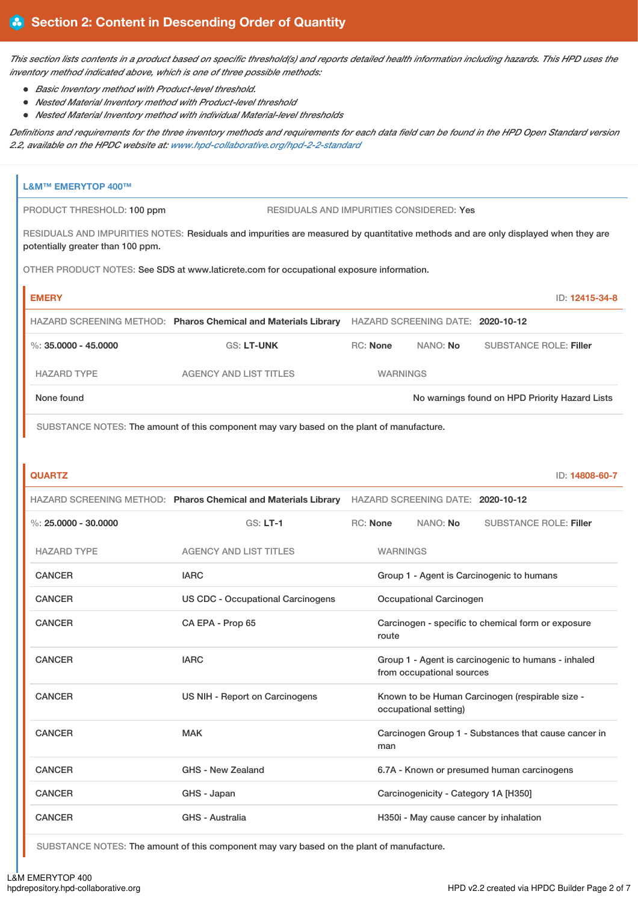This section lists contents in a product based on specific threshold(s) and reports detailed health information including hazards. This HPD uses the *inventory method indicated above, which is one of three possible methods:*

- *Basic Inventory method with Product-level threshold.*
- *Nested Material Inventory method with Product-level threshold*
- *Nested Material Inventory method with individual Material-level thresholds*

Definitions and requirements for the three inventory methods and requirements for each data field can be found in the HPD Open Standard version *2.2, available on the HPDC website at: [www.hpd-collaborative.org/hpd-2-2-standard](https://www.hpd-collaborative.org/hpd-2-2-standard)*

| <b>L&amp;M™ EMERYTOP 400™</b>     |                                                                                                                                    |                 |                 |                                      |                                                      |
|-----------------------------------|------------------------------------------------------------------------------------------------------------------------------------|-----------------|-----------------|--------------------------------------|------------------------------------------------------|
| PRODUCT THRESHOLD: 100 ppm        | <b>RESIDUALS AND IMPURITIES CONSIDERED: Yes</b>                                                                                    |                 |                 |                                      |                                                      |
| potentially greater than 100 ppm. | RESIDUALS AND IMPURITIES NOTES: Residuals and impurities are measured by quantitative methods and are only displayed when they are |                 |                 |                                      |                                                      |
|                                   | OTHER PRODUCT NOTES: See SDS at www.laticrete.com for occupational exposure information.                                           |                 |                 |                                      |                                                      |
| <b>EMERY</b>                      |                                                                                                                                    |                 |                 |                                      | ID: 12415-34-8                                       |
|                                   | HAZARD SCREENING METHOD: Pharos Chemical and Materials Library HAZARD SCREENING DATE: 2020-10-12                                   |                 |                 |                                      |                                                      |
| %: $35,0000 - 45,0000$            | <b>GS: LT-UNK</b>                                                                                                                  | <b>RC: None</b> |                 | NANO: No                             | <b>SUBSTANCE ROLE: Filler</b>                        |
| <b>HAZARD TYPE</b>                | <b>AGENCY AND LIST TITLES</b>                                                                                                      |                 | <b>WARNINGS</b> |                                      |                                                      |
| None found                        |                                                                                                                                    |                 |                 |                                      | No warnings found on HPD Priority Hazard Lists       |
|                                   | SUBSTANCE NOTES: The amount of this component may vary based on the plant of manufacture.                                          |                 |                 |                                      |                                                      |
|                                   |                                                                                                                                    |                 |                 |                                      |                                                      |
| <b>QUARTZ</b>                     |                                                                                                                                    |                 |                 |                                      | ID: 14808-60-7                                       |
|                                   | HAZARD SCREENING METHOD: Pharos Chemical and Materials Library HAZARD SCREENING DATE: 2020-10-12                                   |                 |                 |                                      |                                                      |
| %: $25.0000 - 30.0000$            | $GS: LT-1$                                                                                                                         | <b>RC: None</b> |                 | NANO: No                             | <b>SUBSTANCE ROLE: Filler</b>                        |
| <b>HAZARD TYPE</b>                | <b>AGENCY AND LIST TITLES</b>                                                                                                      |                 | <b>WARNINGS</b> |                                      |                                                      |
| <b>CANCER</b>                     | <b>IARC</b>                                                                                                                        |                 |                 |                                      | Group 1 - Agent is Carcinogenic to humans            |
| <b>CANCER</b>                     | <b>US CDC - Occupational Carcinogens</b>                                                                                           |                 |                 | <b>Occupational Carcinogen</b>       |                                                      |
| <b>CANCER</b>                     | CA EPA - Prop 65                                                                                                                   |                 | route           |                                      | Carcinogen - specific to chemical form or exposure   |
| <b>CANCER</b>                     | <b>IARC</b>                                                                                                                        |                 |                 | from occupational sources            | Group 1 - Agent is carcinogenic to humans - inhaled  |
| <b>CANCER</b>                     | US NIH - Report on Carcinogens                                                                                                     |                 |                 | occupational setting)                | Known to be Human Carcinogen (respirable size -      |
| <b>CANCER</b>                     | <b>MAK</b>                                                                                                                         |                 | man             |                                      | Carcinogen Group 1 - Substances that cause cancer in |
| <b>CANCER</b>                     | GHS - New Zealand                                                                                                                  |                 |                 |                                      | 6.7A - Known or presumed human carcinogens           |
| <b>CANCER</b>                     | GHS - Japan                                                                                                                        |                 |                 | Carcinogenicity - Category 1A [H350] |                                                      |
| <b>CANCER</b>                     | GHS - Australia                                                                                                                    |                 |                 |                                      | H350i - May cause cancer by inhalation               |

SUBSTANCE NOTES: The amount of this component may vary based on the plant of manufacture.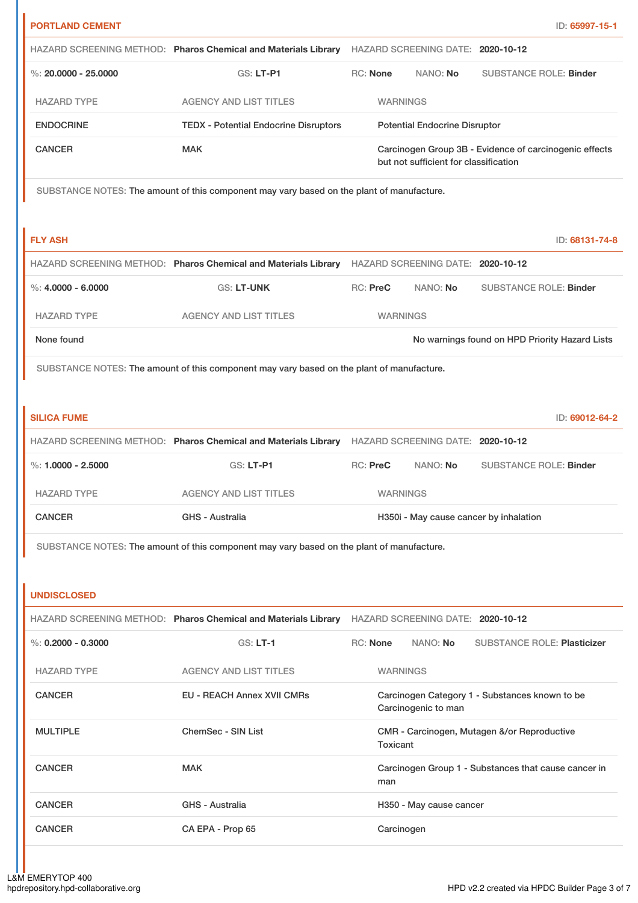|                                                             |                                                                                                  |                 |                                       |                                                        | ID: 65997-15-1 |
|-------------------------------------------------------------|--------------------------------------------------------------------------------------------------|-----------------|---------------------------------------|--------------------------------------------------------|----------------|
|                                                             | HAZARD SCREENING METHOD: Pharos Chemical and Materials Library HAZARD SCREENING DATE: 2020-10-12 |                 |                                       |                                                        |                |
| %: $20,0000 - 25,0000$                                      | <b>GS: LT-P1</b>                                                                                 | RC: None        | NANO: No                              | <b>SUBSTANCE ROLE: Binder</b>                          |                |
| <b>HAZARD TYPE</b>                                          | <b>AGENCY AND LIST TITLES</b>                                                                    | <b>WARNINGS</b> |                                       |                                                        |                |
| <b>ENDOCRINE</b>                                            | <b>TEDX - Potential Endocrine Disruptors</b>                                                     |                 | <b>Potential Endocrine Disruptor</b>  |                                                        |                |
| <b>CANCER</b>                                               | <b>MAK</b>                                                                                       |                 | but not sufficient for classification | Carcinogen Group 3B - Evidence of carcinogenic effects |                |
|                                                             | SUBSTANCE NOTES: The amount of this component may vary based on the plant of manufacture.        |                 |                                       |                                                        |                |
| <b>FLY ASH</b>                                              |                                                                                                  |                 |                                       |                                                        | ID: 68131-74-8 |
|                                                             | HAZARD SCREENING METHOD: Pharos Chemical and Materials Library HAZARD SCREENING DATE: 2020-10-12 |                 |                                       |                                                        |                |
| $\%: 4.0000 - 6.0000$                                       | GS: LT-UNK                                                                                       | RC: PreC        | NANO: No                              | <b>SUBSTANCE ROLE: Binder</b>                          |                |
| <b>HAZARD TYPE</b>                                          | <b>AGENCY AND LIST TITLES</b>                                                                    | <b>WARNINGS</b> |                                       |                                                        |                |
| None found                                                  |                                                                                                  |                 |                                       | No warnings found on HPD Priority Hazard Lists         |                |
|                                                             | SUBSTANCE NOTES: The amount of this component may vary based on the plant of manufacture.        |                 |                                       |                                                        |                |
| <b>SILICA FUME</b>                                          |                                                                                                  |                 |                                       |                                                        | ID: 69012-64-2 |
|                                                             | HAZARD SCREENING METHOD: Pharos Chemical and Materials Library HAZARD SCREENING DATE: 2020-10-12 |                 |                                       |                                                        |                |
| %: $1,0000 - 2,5000$                                        | GS: LT-P1                                                                                        | <b>RC: PreC</b> | NANO: No                              | <b>SUBSTANCE ROLE: Binder</b>                          |                |
|                                                             |                                                                                                  |                 |                                       |                                                        |                |
| <b>HAZARD TYPE</b>                                          | <b>AGENCY AND LIST TITLES</b>                                                                    | <b>WARNINGS</b> |                                       |                                                        |                |
| <b>CANCER</b>                                               | <b>GHS - Australia</b>                                                                           |                 |                                       | H350i - May cause cancer by inhalation                 |                |
|                                                             | SUBSTANCE NOTES: The amount of this component may vary based on the plant of manufacture.        |                 |                                       |                                                        |                |
|                                                             | HAZARD SCREENING METHOD: Pharos Chemical and Materials Library HAZARD SCREENING DATE: 2020-10-12 |                 |                                       |                                                        |                |
|                                                             | <b>GS: LT-1</b>                                                                                  | RC: None        | NANO: No                              | <b>SUBSTANCE ROLE: Plasticizer</b>                     |                |
| <b>HAZARD TYPE</b>                                          | <b>AGENCY AND LIST TITLES</b>                                                                    | <b>WARNINGS</b> |                                       |                                                        |                |
| <b>CANCER</b>                                               | <b>EU - REACH Annex XVII CMRs</b>                                                                |                 | Carcinogenic to man                   | Carcinogen Category 1 - Substances known to be         |                |
| <b>MULTIPLE</b>                                             | <b>ChemSec - SIN List</b>                                                                        | Toxicant        |                                       | CMR - Carcinogen, Mutagen &/or Reproductive            |                |
| <b>CANCER</b>                                               | <b>MAK</b>                                                                                       | man             |                                       | Carcinogen Group 1 - Substances that cause cancer in   |                |
| <b>UNDISCLOSED</b><br>%: $0.2000 - 0.3000$<br><b>CANCER</b> | GHS - Australia                                                                                  |                 | H350 - May cause cancer               |                                                        |                |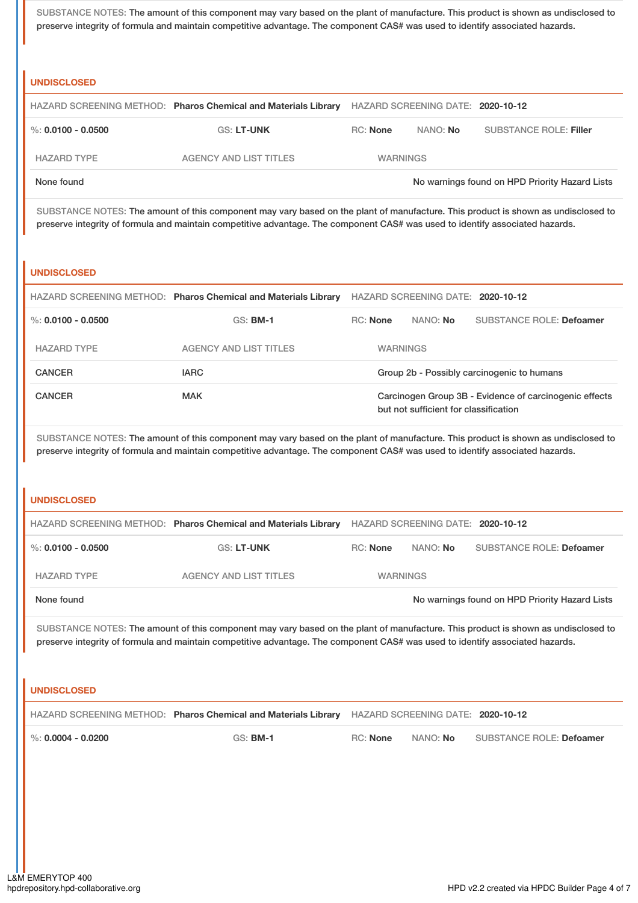SUBSTANCE NOTES: The amount of this component may vary based on the plant of manufacture. This product is shown as undisclosed to preserve integrity of formula and maintain competitive advantage. The component CAS# was used to identify associated hazards.

# **UNDISCLOSED**

|                    | HAZARD SCREENING METHOD: Pharos Chemical and Materials Library HAZARD SCREENING DATE: 2020-10-12 |                 |                 |                                                |
|--------------------|--------------------------------------------------------------------------------------------------|-----------------|-----------------|------------------------------------------------|
| %: 0.0100 - 0.0500 | <b>GS: LT-UNK</b>                                                                                | RC: None        | NANO: <b>No</b> | SUBSTANCE ROLE: Filler                         |
| <b>HAZARD TYPE</b> | AGENCY AND LIST TITLES                                                                           | <b>WARNINGS</b> |                 |                                                |
| None found         |                                                                                                  |                 |                 | No warnings found on HPD Priority Hazard Lists |

SUBSTANCE NOTES: The amount of this component may vary based on the plant of manufacture. This product is shown as undisclosed to preserve integrity of formula and maintain competitive advantage. The component CAS# was used to identify associated hazards.

### **UNDISCLOSED**

|                      | HAZARD SCREENING METHOD: Pharos Chemical and Materials Library |                                                                                                 | HAZARD SCREENING DATE: 2020-10-12 |                                            |
|----------------------|----------------------------------------------------------------|-------------------------------------------------------------------------------------------------|-----------------------------------|--------------------------------------------|
| %: $0.0100 - 0.0500$ | $GS:$ BM-1                                                     | <b>RC:</b> None                                                                                 | NANO: No                          | <b>SUBSTANCE ROLE: Defoamer</b>            |
| <b>HAZARD TYPE</b>   | <b>AGENCY AND LIST TITLES</b>                                  | <b>WARNINGS</b>                                                                                 |                                   |                                            |
| <b>CANCER</b>        | <b>IARC</b>                                                    |                                                                                                 |                                   | Group 2b - Possibly carcinogenic to humans |
| <b>CANCER</b>        | <b>MAK</b>                                                     | Carcinogen Group 3B - Evidence of carcinogenic effects<br>but not sufficient for classification |                                   |                                            |

SUBSTANCE NOTES: The amount of this component may vary based on the plant of manufacture. This product is shown as undisclosed to preserve integrity of formula and maintain competitive advantage. The component CAS# was used to identify associated hazards.

### **UNDISCLOSED**

|                    | HAZARD SCREENING METHOD: Pharos Chemical and Materials Library |                 | HAZARD SCREENING DATE: 2020-10-12 |                                                |
|--------------------|----------------------------------------------------------------|-----------------|-----------------------------------|------------------------------------------------|
| %: 0.0100 - 0.0500 | <b>GS: LT-UNK</b>                                              | RC: None        | NANO: No                          | SUBSTANCE ROLE: Defoamer                       |
| <b>HAZARD TYPE</b> | <b>AGENCY AND LIST TITLES</b>                                  | <b>WARNINGS</b> |                                   |                                                |
| None found         |                                                                |                 |                                   | No warnings found on HPD Priority Hazard Lists |

SUBSTANCE NOTES: The amount of this component may vary based on the plant of manufacture. This product is shown as undisclosed to preserve integrity of formula and maintain competitive advantage. The component CAS# was used to identify associated hazards.

## **UNDISCLOSED**

|                              | HAZARD SCREENING METHOD: Pharos Chemical and Materials Library HAZARD SCREENING DATE: 2020-10-12 |          |                 |                          |
|------------------------------|--------------------------------------------------------------------------------------------------|----------|-----------------|--------------------------|
| $\,$ %: 0.0004 - 0.0200 $\,$ | <b>GS: BM-1</b>                                                                                  | RC: None | NANO: <b>No</b> | SUBSTANCE ROLE: Defoamer |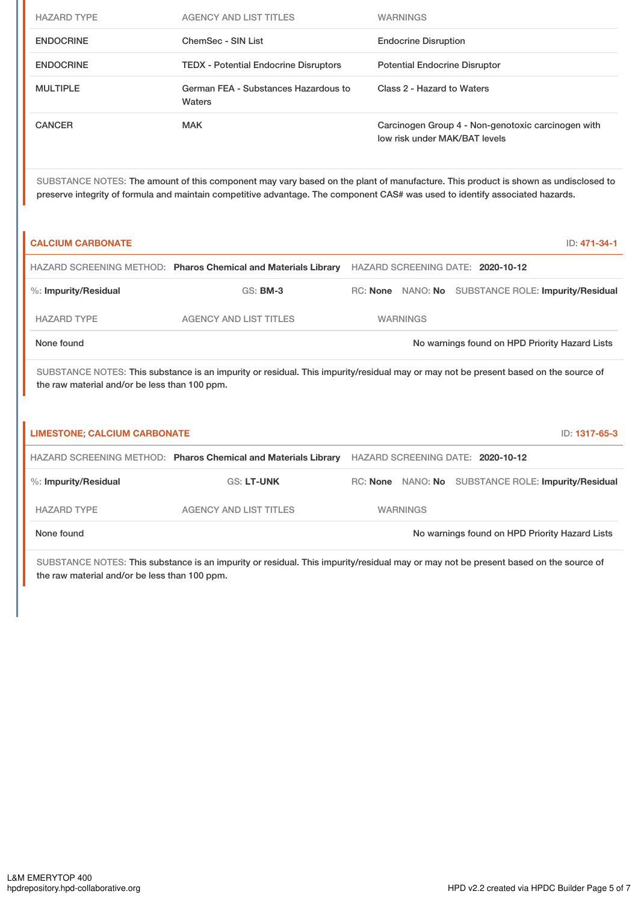| <b>HAZARD TYPE</b> | <b>AGENCY AND LIST TITLES</b>                  | <b>WARNINGS</b>                                                                     |
|--------------------|------------------------------------------------|-------------------------------------------------------------------------------------|
| <b>ENDOCRINE</b>   | ChemSec - SIN List                             | <b>Endocrine Disruption</b>                                                         |
| <b>ENDOCRINE</b>   | <b>TEDX</b> - Potential Endocrine Disruptors   | <b>Potential Endocrine Disruptor</b>                                                |
| <b>MULTIPLE</b>    | German FEA - Substances Hazardous to<br>Waters | Class 2 - Hazard to Waters                                                          |
| CANCER             | <b>MAK</b>                                     | Carcinogen Group 4 - Non-genotoxic carcinogen with<br>low risk under MAK/BAT levels |

SUBSTANCE NOTES: The amount of this component may vary based on the plant of manufacture. This product is shown as undisclosed to preserve integrity of formula and maintain competitive advantage. The component CAS# was used to identify associated hazards.

| <b>CALCIUM CARBONATE</b>                      |                                                                                                                                     |                                   |  | ID: 471-34-1                                   |  |
|-----------------------------------------------|-------------------------------------------------------------------------------------------------------------------------------------|-----------------------------------|--|------------------------------------------------|--|
|                                               | HAZARD SCREENING METHOD: Pharos Chemical and Materials Library                                                                      | HAZARD SCREENING DATE: 2020-10-12 |  |                                                |  |
| %: Impurity/Residual                          | $GS:$ BM-3                                                                                                                          | RC: None NANO: No                 |  | SUBSTANCE ROLE: Impurity/Residual              |  |
| <b>HAZARD TYPE</b>                            | <b>AGENCY AND LIST TITLES</b>                                                                                                       | <b>WARNINGS</b>                   |  |                                                |  |
| None found                                    |                                                                                                                                     |                                   |  | No warnings found on HPD Priority Hazard Lists |  |
| the raw material and/or be less than 100 ppm. | SUBSTANCE NOTES: This substance is an impurity or residual. This impurity/residual may or may not be present based on the source of |                                   |  |                                                |  |
| <b>LIMESTONE; CALCIUM CARBONATE</b>           |                                                                                                                                     |                                   |  | ID: 1317-65-3                                  |  |
|                                               | HAZARD SCREENING METHOD: Pharos Chemical and Materials Library                                                                      | HAZARD SCREENING DATE: 2020-10-12 |  |                                                |  |

| %: Impurity/Residual | GS: LT-UNK                    |                 | RC: None NANO: No SUBSTANCE ROLE: Impurity/Residual |
|----------------------|-------------------------------|-----------------|-----------------------------------------------------|
| <b>HAZARD TYPE</b>   | <b>AGENCY AND LIST TITLES</b> | <b>WARNINGS</b> |                                                     |
| None found           |                               |                 | No warnings found on HPD Priority Hazard Lists      |

SUBSTANCE NOTES: This substance is an impurity or residual. This impurity/residual may or may not be present based on the source of the raw material and/or be less than 100 ppm.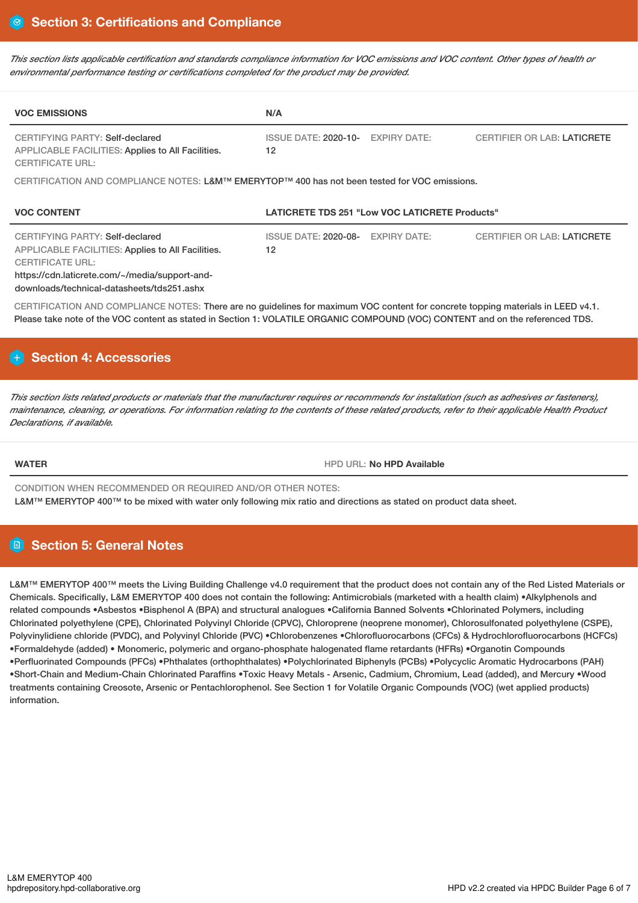This section lists applicable certification and standards compliance information for VOC emissions and VOC content. Other types of health or *environmental performance testing or certifications completed for the product may be provided.*

| <b>VOC EMISSIONS</b>                                                                                                                                                                                                   | N/A                                                      |                                    |
|------------------------------------------------------------------------------------------------------------------------------------------------------------------------------------------------------------------------|----------------------------------------------------------|------------------------------------|
| CERTIFYING PARTY: Self-declared<br>APPLICABLE FACILITIES: Applies to All Facilities.<br><b>CERTIFICATE URL:</b>                                                                                                        | <b>EXPIRY DATE:</b><br>ISSUE DATE: 2020-10-<br>12        | <b>CERTIFIER OR LAB: LATICRETE</b> |
| CERTIFICATION AND COMPLIANCE NOTES: L&M™ EMERYTOP™ 400 has not been tested for VOC emissions.                                                                                                                          |                                                          |                                    |
|                                                                                                                                                                                                                        |                                                          |                                    |
| <b>VOC CONTENT</b>                                                                                                                                                                                                     | LATICRETE TDS 251 "Low VOC LATICRETE Products"           |                                    |
| <b>CERTIFYING PARTY: Self-declared</b><br>APPLICABLE FACILITIES: Applies to All Facilities.<br><b>CERTIFICATE URL:</b><br>https://cdn.laticrete.com/~/media/support-and-<br>downloads/technical-datasheets/tds251.ashx | <b>EXPIRY DATE:</b><br><b>ISSUE DATE: 2020-08-</b><br>12 | <b>CERTIFIER OR LAB: LATICRETE</b> |

CERTIFICATION AND COMPLIANCE NOTES: There are no guidelines for maximum VOC content for concrete topping materials in LEED v4.1. Please take note of the VOC content as stated in Section 1: VOLATILE ORGANIC COMPOUND (VOC) CONTENT and on the referenced TDS.

# **Section 4: Accessories**

This section lists related products or materials that the manufacturer requires or recommends for installation (such as adhesives or fasteners), maintenance, cleaning, or operations. For information relating to the contents of these related products, refer to their applicable Health Product *Declarations, if available.*

**WATER** HPD URL: **No HPD Available**

CONDITION WHEN RECOMMENDED OR REQUIRED AND/OR OTHER NOTES: L&M™ EMERYTOP 400™ to be mixed with water only following mix ratio and directions as stated on product data sheet.

# **Section 5: General Notes**

L&M™ EMERYTOP 400™ meets the Living Building Challenge v4.0 requirement that the product does not contain any of the Red Listed Materials or Chemicals. Specifically, L&M EMERYTOP 400 does not contain the following: Antimicrobials (marketed with a health claim) •Alkylphenols and related compounds •Asbestos •Bisphenol A (BPA) and structural analogues •California Banned Solvents •Chlorinated Polymers, including Chlorinated polyethylene (CPE), Chlorinated Polyvinyl Chloride (CPVC), Chloroprene (neoprene monomer), Chlorosulfonated polyethylene (CSPE), Polyvinylidiene chloride (PVDC), and Polyvinyl Chloride (PVC) •Chlorobenzenes •Chlorofluorocarbons (CFCs) & Hydrochlorofluorocarbons (HCFCs) •Formaldehyde (added) • Monomeric, polymeric and organo-phosphate halogenated flame retardants (HFRs) •Organotin Compounds •Perfluorinated Compounds (PFCs) •Phthalates (orthophthalates) •Polychlorinated Biphenyls (PCBs) •Polycyclic Aromatic Hydrocarbons (PAH) •Short-Chain and Medium-Chain Chlorinated Paraffins •Toxic Heavy Metals - Arsenic, Cadmium, Chromium, Lead (added), and Mercury •Wood treatments containing Creosote, Arsenic or Pentachlorophenol. See Section 1 for Volatile Organic Compounds (VOC) (wet applied products) information.